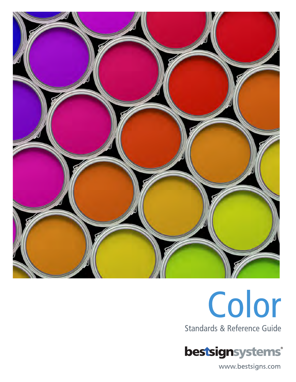



bestsignsystems®

www.bestsigns.com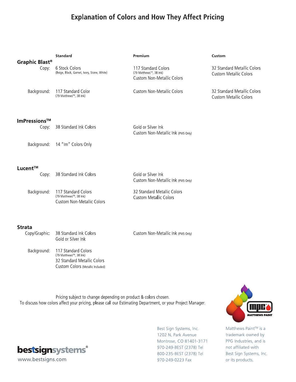# **Explanation of Colors and How They Affect Pricing**

|                                     | <b>Standard</b>                                                                                                   | Premium                                                                            | Custom                                                       |
|-------------------------------------|-------------------------------------------------------------------------------------------------------------------|------------------------------------------------------------------------------------|--------------------------------------------------------------|
| Graphic Blast <sup>®</sup><br>Copy: | 6 Stock Colors<br>(Beige, Black, Garnet, Ivory, Stone, White)                                                     | 117 Standard Colors<br>(79 Matthews™, 38 Ink)<br><b>Custom Non-Metallic Colors</b> | 32 Standard Metallic Colors<br><b>Custom Metallic Colors</b> |
| Background:                         | 117 Standard Color<br>(79 Matthews™, 38 Ink)                                                                      | <b>Custom Non-Metallic Colors</b>                                                  | 32 Standard Metallic Colors<br><b>Custom Metallic Colors</b> |
| ImPressions™<br>Copy:               | 38 Standard Ink Colors                                                                                            | Gold or Silver Ink<br>Custom Non-Metallic Ink (PMS Only)                           |                                                              |
| Background:                         | 14 "Im" Colors Only                                                                                               |                                                                                    |                                                              |
| Lucent™                             |                                                                                                                   |                                                                                    |                                                              |
| Copy:                               | 38 Standard Ink Colors                                                                                            | Gold or Silver Ink<br>Custom Non-Metallic Ink (PMS Only)                           |                                                              |
| Background:                         | 117 Standard Colors<br>(79 Matthews™, 38 Ink)<br><b>Custom Non-Metallic Colors</b>                                | 32 Standard Metallic Colors<br><b>Custom Metallic Colors</b>                       |                                                              |
| <b>Strata</b>                       |                                                                                                                   |                                                                                    |                                                              |
| Copy/Graphic:                       | 38 Standard Ink Colors<br>Gold or Silver Ink                                                                      | Custom Non-Metallic Ink (PMS Only)                                                 |                                                              |
| Background:                         | 117 Standard Colors<br>(79 Matthews™, 38 Ink)<br>32 Standard Metallic Colors<br>Custom Colors (Metallic Included) |                                                                                    |                                                              |

Pricing subject to change depending on product & colors chosen. To discuss how colors affect your pricing, please call our Estimating Department, or your Project Manager.



Best Sign Systems, Inc. 1202 N. Park Avenue Montrose, CO 81401-3171 970-249-BEST (2378) Tel 800-235-BEST (2378) Tel 970-249-0223 Fax



Matthews Paint™ is a trademark owned by PPG Industries, and is not affiliated with Best Sign Systems, Inc. or its products.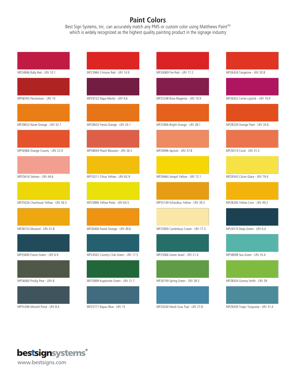# **Paint Colors**

Best Sign Systems, Inc. can accurately match any PMS or custom color using Matthews Paint™ which is widely recognized as the highest quality painting product in the signage industry

| MP24846 Rally Red - LRV 10.1         | MP23966 Crimson Red - LRV 14.9        | MP24069 Fire Red - LRV 17.2         | MP26434 Tangerine - LRV 20.8        |
|--------------------------------------|---------------------------------------|-------------------------------------|-------------------------------------|
|                                      |                                       |                                     |                                     |
| MP58765 Persimmon - LRV 15           | MP29732 Napa Merlot - LRV 9.6         | MP25248 Rose Magenta - LRV 10.9     | MP26452 Cerise Lipstick - LRV 16.9  |
|                                      |                                       |                                     |                                     |
| MP29653 Navel Orange - LRV 32.7      | MP29633 Fiesta Orange - LRV 33.1      | MP23906 Bright Orange - LRV 28.1    | MP28239 Orange Flare - LRV 24.6     |
|                                      |                                       |                                     |                                     |
| MP56966 Orange County - LRV 22.9     | MP58094 Peach Blossom - LRV 26.5      | MP29496 Apricot - LRV 37.8          | MP29214 Coral - LRV 31.3            |
|                                      |                                       |                                     |                                     |
| MP25616 Salmon - LRV 44.6            | MP10211 Citrus Yellow - LRV 62.9      | MP29464 Jonquil Yellow - LRV 72.1   | MP29545 Citron Glace - LRV 79.4     |
|                                      |                                       |                                     |                                     |
| MP25026 Chartreuse Yellow - LRV 56.5 | MP25890 Yellow Petal - LRV 64.5       | MP55149 Schoolbus Yellow - LRV 39.3 | MP28240 Yellow Corn - LRV 49.2      |
|                                      |                                       |                                     |                                     |
| MP28153 Mustard - LRV 41.8           | MP26406 Pastel Orange - LRV 49.6      | MP25900 Canterbury Cream - LRV 77.5 | MP24510 Deep Green - LRV 6.4        |
|                                      |                                       |                                     |                                     |
| MP55690 Forest Green - LRV 6.9       | MP24502 Country Club Green - LRV 17.5 | MP25066 Green Jewel - LRV 21.4      | MP58098 Sea Green - LRV 35.4        |
|                                      |                                       |                                     |                                     |
| MP56060 Prickly Pear - LRV 8         | MP25899 Kryptonite Green - LRV 21.7   | MP26749 Spring Green - LRV 28.3     | MP28434 Granny Smith - LRV 39       |
|                                      |                                       |                                     |                                     |
| MP55396 Moonlit Pond - LRV 8.4       | MP25771 Bayou Blue - LRV 15           | MP24340 Mardi Gras Teal - LRV 27.8  | MP29439 Tropic Turquoise - LRV 31.4 |



www.bestsigns.com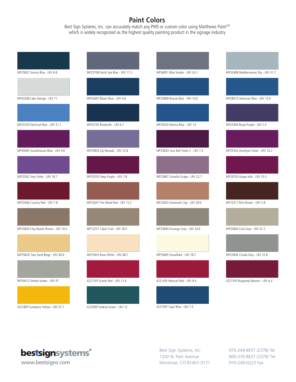# **Paint Colors**

Best Sign Systems, Inc. can accurately match any PMS or custom color using Matthews Paint™ which is widely recognized as the highest quality painting product in the signage industry

| MP25837 Stormy Blue - LRV 6.8        | MP23708 North Sea Blue - LRV 17.2 | MP56851 Blue Smoke - LRV 24.1        | MP20498 Mediterranean Sky - LRV 51.7 |
|--------------------------------------|-----------------------------------|--------------------------------------|--------------------------------------|
|                                      |                                   |                                      |                                      |
|                                      |                                   |                                      |                                      |
|                                      |                                   |                                      |                                      |
| MP43348 Lake George - LRV 71         | MP55697 Bluest Blue - LRV 6.8     | MP25808 Bicycle Blue - LRV 10.6      | MP28073 American Blue - LRV 13.9     |
|                                      |                                   |                                      |                                      |
|                                      |                                   |                                      |                                      |
|                                      |                                   |                                      |                                      |
| MP24100 Electrical Blue - LRV 31.1   | MP55795 Bluetooth - LRV 6.7       | MP29320 Marina Blue - LRV 14         | MP25956 Royal Purple - LRV 7.4       |
|                                      |                                   |                                      |                                      |
|                                      |                                   |                                      |                                      |
|                                      |                                   |                                      |                                      |
|                                      |                                   |                                      |                                      |
| MP30493 Scandinavian Blue - LRV 9.6  | MP25854 Lily Morada - LRV 22.8    | MP25834 Taco Bell Violet 2 - LRV 7.4 | MP25542 Amethyst Violet - LRV 10.2   |
|                                      |                                   |                                      |                                      |
|                                      |                                   |                                      |                                      |
|                                      |                                   |                                      |                                      |
| MP25502 Very Violet - LRV 18.7       | MP25550 Deep Purple - LRV 7.8     | MP25867 Graceful Grape - LRV 22.7    | MP29705 Grape Jello - LRV 10.3       |
|                                      |                                   |                                      |                                      |
|                                      |                                   |                                      |                                      |
|                                      |                                   |                                      |                                      |
| MP23446 Country Red - LRV 7.8        | MP23647 Fire Weed Red - LRV 15.2  | MP22823 Savannah Clay - LRV 29.6     | MP10217 Rich Brown - LRV 5.8         |
|                                      |                                   |                                      |                                      |
|                                      |                                   |                                      |                                      |
|                                      |                                   |                                      |                                      |
| MP25839 Clay Basket Brown - LRV 19.5 | MP12257 Cabot Trail - LRV 28.5    | MP25849 Durango Grey - LRV 24.6      | MP55840 Cool Gray - LRV 47.2         |
|                                      |                                   |                                      |                                      |
|                                      |                                   |                                      |                                      |
|                                      |                                   |                                      |                                      |
| MP25829 Taos Sand Beige - LRV 60.6   | MP25833 Bone White - LRV 68.7     | MP55685 Snowflake - LRV 78.7         | MP25836 Cicada Grey - LRV 32.8       |
|                                      |                                   |                                      |                                      |
|                                      |                                   |                                      |                                      |
|                                      |                                   |                                      |                                      |
| MP34412 Smoke Screen - LRV 47        | 42212SP Scarlet Red - LRV 11.6    | 42214SP Mexicali Red - LRV 9.4       | 42215SP Burgundy Maroon - LRV 6.4    |
|                                      |                                   |                                      |                                      |
|                                      |                                   |                                      |                                      |
|                                      |                                   |                                      |                                      |
| 42218SP Sundance Yellow - LRV 57.7   | 42259SP Federal Green - LRV 12    | 42219SP Capri Blue - LRV 7.3         |                                      |



Best Sign Systems, Inc. 1202 N. Park Avenue **www.bestsigns.com** Montrose, CO 81401-3171 970-249-0223 Fax

970-249-BEST (2378) Tel 800-235-BEST (2378) Tel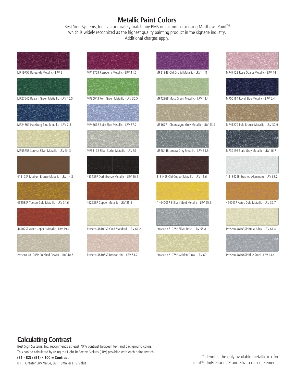### **Metallic Paint Colors**

Best Sign Systems, Inc. can accurately match any PMS or custom color using Matthews Paint™ which is widely recognized as the highest quality painting product in the signage industry. Additional charges apply.



# **Calculating Contrast**

Best Sign Systems, Inc. recommends at least 70% contrast between text and background colors. This can be calculated by using the Light Reflective Values (LRV) provided with each paint swatch. **(B1 - B2) / (B1) x 100 = Contrast**

B1 = Greater LRV Value, B2 = Smaller LRV Value